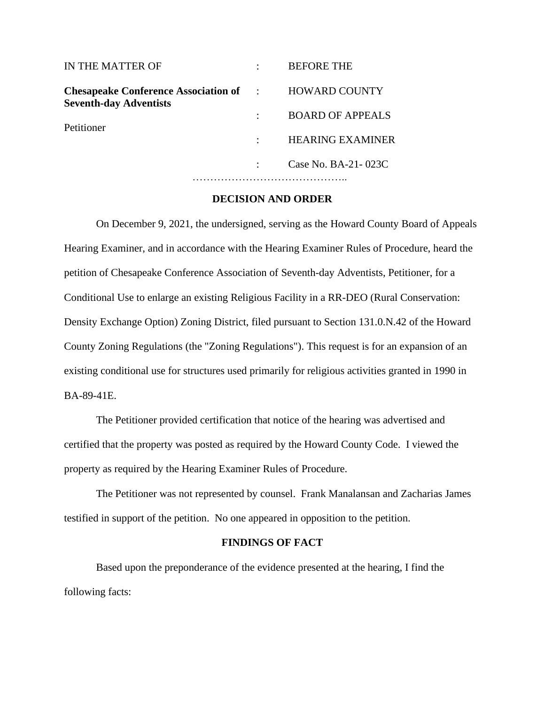| IN THE MATTER OF                                                                                     | <b>BEFORE THE</b>       |
|------------------------------------------------------------------------------------------------------|-------------------------|
| <b>Chesapeake Conference Association of Fig. 3.1.</b><br><b>Seventh-day Adventists</b><br>Petitioner | <b>HOWARD COUNTY</b>    |
|                                                                                                      | <b>BOARD OF APPEALS</b> |
|                                                                                                      | <b>HEARING EXAMINER</b> |
|                                                                                                      | Case No. BA-21-023C     |
|                                                                                                      |                         |

#### **DECISION AND ORDER**

On December 9, 2021, the undersigned, serving as the Howard County Board of Appeals Hearing Examiner, and in accordance with the Hearing Examiner Rules of Procedure, heard the petition of Chesapeake Conference Association of Seventh-day Adventists, Petitioner, for a Conditional Use to enlarge an existing Religious Facility in a RR-DEO (Rural Conservation: Density Exchange Option) Zoning District, filed pursuant to Section 131.0.N.42 of the Howard County Zoning Regulations (the "Zoning Regulations"). This request is for an expansion of an existing conditional use for structures used primarily for religious activities granted in 1990 in BA-89-41E.

The Petitioner provided certification that notice of the hearing was advertised and certified that the property was posted as required by the Howard County Code. I viewed the property as required by the Hearing Examiner Rules of Procedure.

The Petitioner was not represented by counsel. Frank Manalansan and Zacharias James testified in support of the petition. No one appeared in opposition to the petition.

### **FINDINGS OF FACT**

Based upon the preponderance of the evidence presented at the hearing, I find the following facts: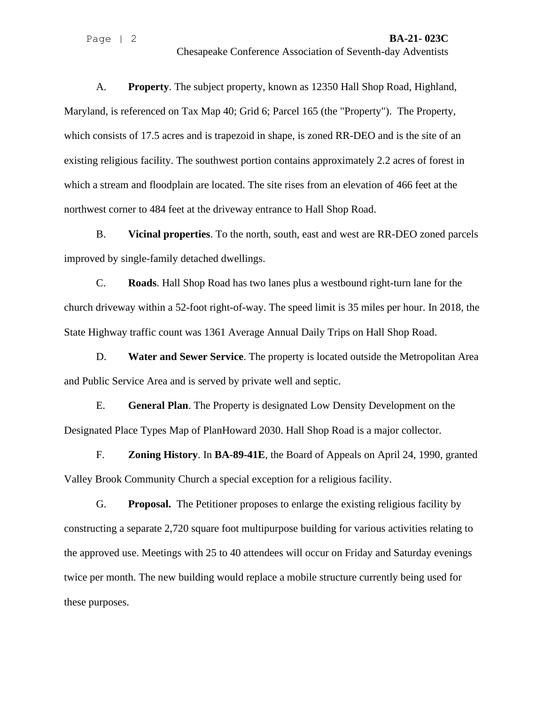A. **Property**. The subject property, known as 12350 Hall Shop Road, Highland, Maryland, is referenced on Tax Map 40; Grid 6; Parcel 165 (the "Property"). The Property, which consists of 17.5 acres and is trapezoid in shape, is zoned RR-DEO and is the site of an existing religious facility. The southwest portion contains approximately 2.2 acres of forest in which a stream and floodplain are located. The site rises from an elevation of 466 feet at the northwest corner to 484 feet at the driveway entrance to Hall Shop Road.

B. **Vicinal properties**. To the north, south, east and west are RR-DEO zoned parcels improved by single-family detached dwellings.

C. **Roads**. Hall Shop Road has two lanes plus a westbound right-turn lane for the church driveway within a 52-foot right-of-way. The speed limit is 35 miles per hour. In 2018, the State Highway traffic count was 1361 Average Annual Daily Trips on Hall Shop Road.

D. **Water and Sewer Service**. The property is located outside the Metropolitan Area and Public Service Area and is served by private well and septic.

E. **General Plan**. The Property is designated Low Density Development on the Designated Place Types Map of PlanHoward 2030. Hall Shop Road is a major collector.

F. **Zoning History**. In **BA-89-41E**, the Board of Appeals on April 24, 1990, granted Valley Brook Community Church a special exception for a religious facility.

G. **Proposal.** The Petitioner proposes to enlarge the existing religious facility by constructing a separate 2,720 square foot multipurpose building for various activities relating to the approved use. Meetings with 25 to 40 attendees will occur on Friday and Saturday evenings twice per month. The new building would replace a mobile structure currently being used for these purposes.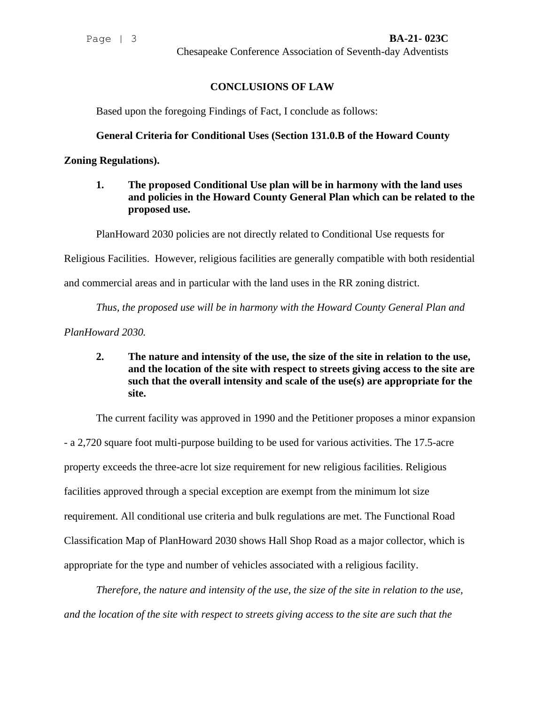# **CONCLUSIONS OF LAW**

Based upon the foregoing Findings of Fact, I conclude as follows:

#### **General Criteria for Conditional Uses (Section 131.0.B of the Howard County**

**Zoning Regulations).**

**1. The proposed Conditional Use plan will be in harmony with the land uses and policies in the Howard County General Plan which can be related to the proposed use.**

PlanHoward 2030 policies are not directly related to Conditional Use requests for

Religious Facilities. However, religious facilities are generally compatible with both residential

and commercial areas and in particular with the land uses in the RR zoning district.

*Thus, the proposed use will be in harmony with the Howard County General Plan and* 

*PlanHoward 2030.*

**2. The nature and intensity of the use, the size of the site in relation to the use, and the location of the site with respect to streets giving access to the site are such that the overall intensity and scale of the use(s) are appropriate for the site.**

The current facility was approved in 1990 and the Petitioner proposes a minor expansion - a 2,720 square foot multi-purpose building to be used for various activities. The 17.5-acre property exceeds the three-acre lot size requirement for new religious facilities. Religious facilities approved through a special exception are exempt from the minimum lot size requirement. All conditional use criteria and bulk regulations are met. The Functional Road Classification Map of PlanHoward 2030 shows Hall Shop Road as a major collector, which is appropriate for the type and number of vehicles associated with a religious facility.

*Therefore, the nature and intensity of the use, the size of the site in relation to the use, and the location of the site with respect to streets giving access to the site are such that the*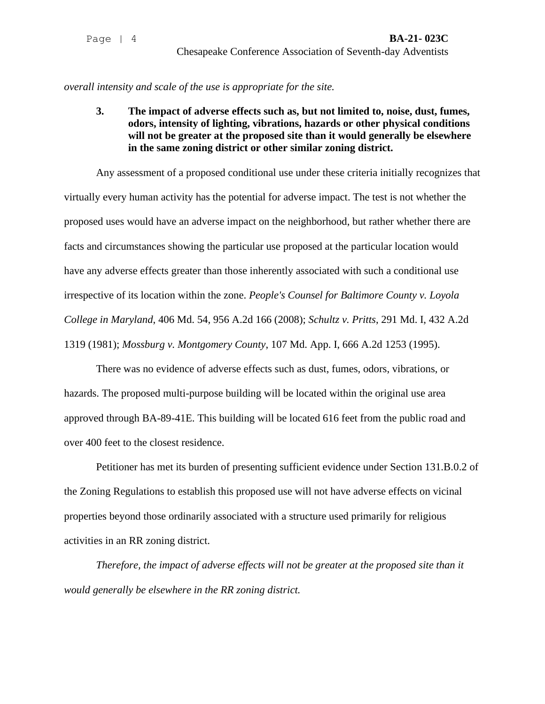*overall intensity and scale of the use is appropriate for the site.*

**3. The impact of adverse effects such as, but not limited to, noise, dust, fumes, odors, intensity of lighting, vibrations, hazards or other physical conditions will not be greater at the proposed site than it would generally be elsewhere in the same zoning district or other similar zoning district.**

Any assessment of a proposed conditional use under these criteria initially recognizes that virtually every human activity has the potential for adverse impact. The test is not whether the proposed uses would have an adverse impact on the neighborhood, but rather whether there are facts and circumstances showing the particular use proposed at the particular location would have any adverse effects greater than those inherently associated with such a conditional use irrespective of its location within the zone. *People's Counsel for Baltimore County v. Loyola College in Maryland*, 406 Md. 54, 956 A.2d 166 (2008); *Schultz v. Pritts*, 291 Md. I, 432 A.2d 1319 (1981); *Mossburg v. Montgomery County*, 107 Md. App. I, 666 A.2d 1253 (1995).

There was no evidence of adverse effects such as dust, fumes, odors, vibrations, or hazards. The proposed multi-purpose building will be located within the original use area approved through BA-89-41E. This building will be located 616 feet from the public road and over 400 feet to the closest residence.

Petitioner has met its burden of presenting sufficient evidence under Section 131.B.0.2 of the Zoning Regulations to establish this proposed use will not have adverse effects on vicinal properties beyond those ordinarily associated with a structure used primarily for religious activities in an RR zoning district.

*Therefore, the impact of adverse effects will not be greater at the proposed site than it would generally be elsewhere in the RR zoning district.*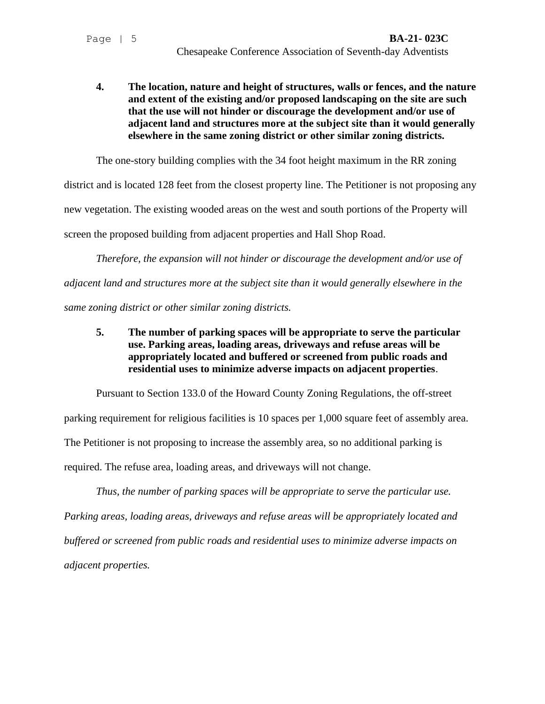**4. The location, nature and height of structures, walls or fences, and the nature and extent of the existing and/or proposed landscaping on the site are such that the use will not hinder or discourage the development and/or use of adjacent land and structures more at the subject site than it would generally elsewhere in the same zoning district or other similar zoning districts.**

The one-story building complies with the 34 foot height maximum in the RR zoning

district and is located 128 feet from the closest property line. The Petitioner is not proposing any new vegetation. The existing wooded areas on the west and south portions of the Property will screen the proposed building from adjacent properties and Hall Shop Road.

*Therefore, the expansion will not hinder or discourage the development and/or use of adjacent land and structures more at the subject site than it would generally elsewhere in the same zoning district or other similar zoning districts.*

**5. The number of parking spaces will be appropriate to serve the particular use. Parking areas, loading areas, driveways and refuse areas will be appropriately located and buffered or screened from public roads and residential uses to minimize adverse impacts on adjacent properties**.

Pursuant to Section 133.0 of the Howard County Zoning Regulations, the off-street parking requirement for religious facilities is 10 spaces per 1,000 square feet of assembly area. The Petitioner is not proposing to increase the assembly area, so no additional parking is required. The refuse area, loading areas, and driveways will not change.

*Thus, the number of parking spaces will be appropriate to serve the particular use. Parking areas, loading areas, driveways and refuse areas will be appropriately located and buffered or screened from public roads and residential uses to minimize adverse impacts on adjacent properties.*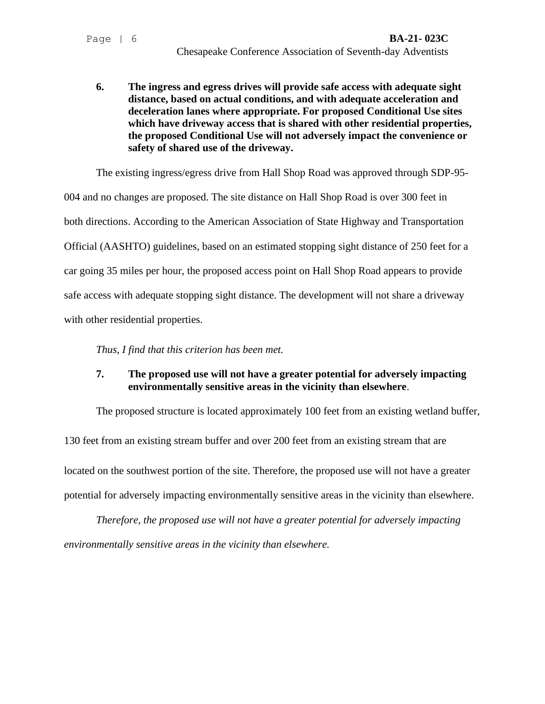**6. The ingress and egress drives will provide safe access with adequate sight distance, based on actual conditions, and with adequate acceleration and deceleration lanes where appropriate. For proposed Conditional Use sites which have driveway access that is shared with other residential properties, the proposed Conditional Use will not adversely impact the convenience or safety of shared use of the driveway.**

The existing ingress/egress drive from Hall Shop Road was approved through SDP-95- 004 and no changes are proposed. The site distance on Hall Shop Road is over 300 feet in both directions. According to the American Association of State Highway and Transportation Official (AASHTO) guidelines, based on an estimated stopping sight distance of 250 feet for a car going 35 miles per hour, the proposed access point on Hall Shop Road appears to provide safe access with adequate stopping sight distance. The development will not share a driveway with other residential properties.

*Thus, I find that this criterion has been met.*

# **7. The proposed use will not have a greater potential for adversely impacting environmentally sensitive areas in the vicinity than elsewhere**.

The proposed structure is located approximately 100 feet from an existing wetland buffer,

130 feet from an existing stream buffer and over 200 feet from an existing stream that are located on the southwest portion of the site. Therefore, the proposed use will not have a greater potential for adversely impacting environmentally sensitive areas in the vicinity than elsewhere.

*Therefore, the proposed use will not have a greater potential for adversely impacting environmentally sensitive areas in the vicinity than elsewhere.*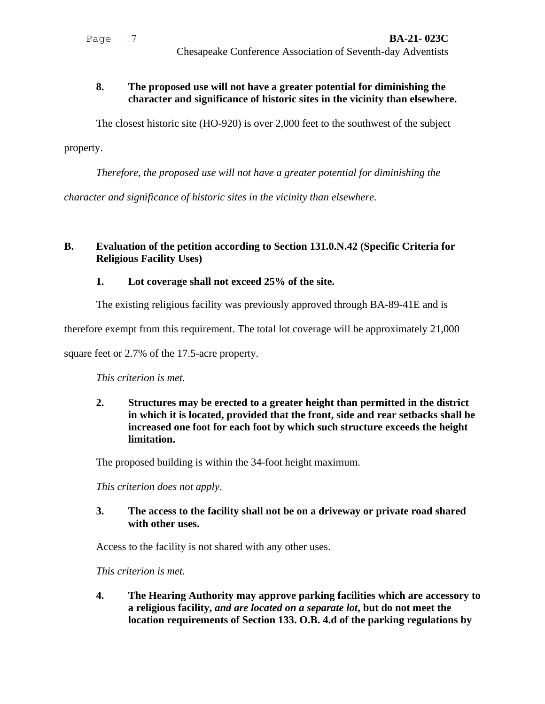### **8. The proposed use will not have a greater potential for diminishing the character and significance of historic sites in the vicinity than elsewhere.**

The closest historic site (HO-920) is over 2,000 feet to the southwest of the subject

property.

*Therefore, the proposed use will not have a greater potential for diminishing the* 

*character and significance of historic sites in the vicinity than elsewhere.*

## **B. Evaluation of the petition according to Section 131.0.N.42 (Specific Criteria for Religious Facility Uses)**

## **1. Lot coverage shall not exceed 25% of the site.**

The existing religious facility was previously approved through BA-89-41E and is

therefore exempt from this requirement. The total lot coverage will be approximately 21,000

square feet or 2.7% of the 17.5-acre property.

*This criterion is met.* 

**2. Structures may be erected to a greater height than permitted in the district in which it is located, provided that the front, side and rear setbacks shall be increased one foot for each foot by which such structure exceeds the height limitation.**

The proposed building is within the 34-foot height maximum.

*This criterion does not apply.*

**3. The access to the facility shall not be on a driveway or private road shared with other uses.**

Access to the facility is not shared with any other uses.

*This criterion is met.* 

**4. The Hearing Authority may approve parking facilities which are accessory to a religious facility,** *and are located on a separate lot***, but do not meet the location requirements of Section 133. O.B. 4.d of the parking regulations by**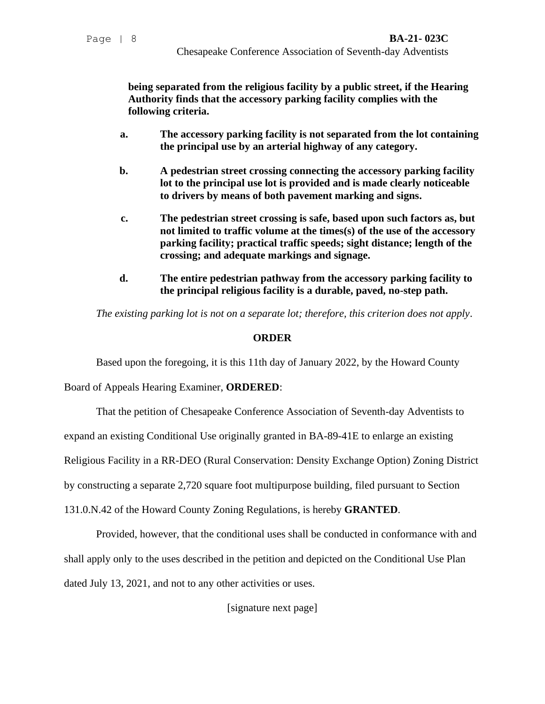**being separated from the religious facility by a public street, if the Hearing Authority finds that the accessory parking facility complies with the following criteria.**

- **a. The accessory parking facility is not separated from the lot containing the principal use by an arterial highway of any category.**
- **b. A pedestrian street crossing connecting the accessory parking facility lot to the principal use lot is provided and is made clearly noticeable to drivers by means of both pavement marking and signs.**
- **c. The pedestrian street crossing is safe, based upon such factors as, but not limited to traffic volume at the times(s) of the use of the accessory parking facility; practical traffic speeds; sight distance; length of the crossing; and adequate markings and signage.**
- **d. The entire pedestrian pathway from the accessory parking facility to the principal religious facility is a durable, paved, no-step path.**

*The existing parking lot is not on a separate lot; therefore, this criterion does not apply*.

### **ORDER**

Based upon the foregoing, it is this 11th day of January 2022, by the Howard County

Board of Appeals Hearing Examiner, **ORDERED**:

That the petition of Chesapeake Conference Association of Seventh-day Adventists to

expand an existing Conditional Use originally granted in BA-89-41E to enlarge an existing

Religious Facility in a RR-DEO (Rural Conservation: Density Exchange Option) Zoning District

by constructing a separate 2,720 square foot multipurpose building, filed pursuant to Section

131.0.N.42 of the Howard County Zoning Regulations, is hereby **GRANTED**.

Provided, however, that the conditional uses shall be conducted in conformance with and shall apply only to the uses described in the petition and depicted on the Conditional Use Plan dated July 13, 2021, and not to any other activities or uses.

[signature next page]